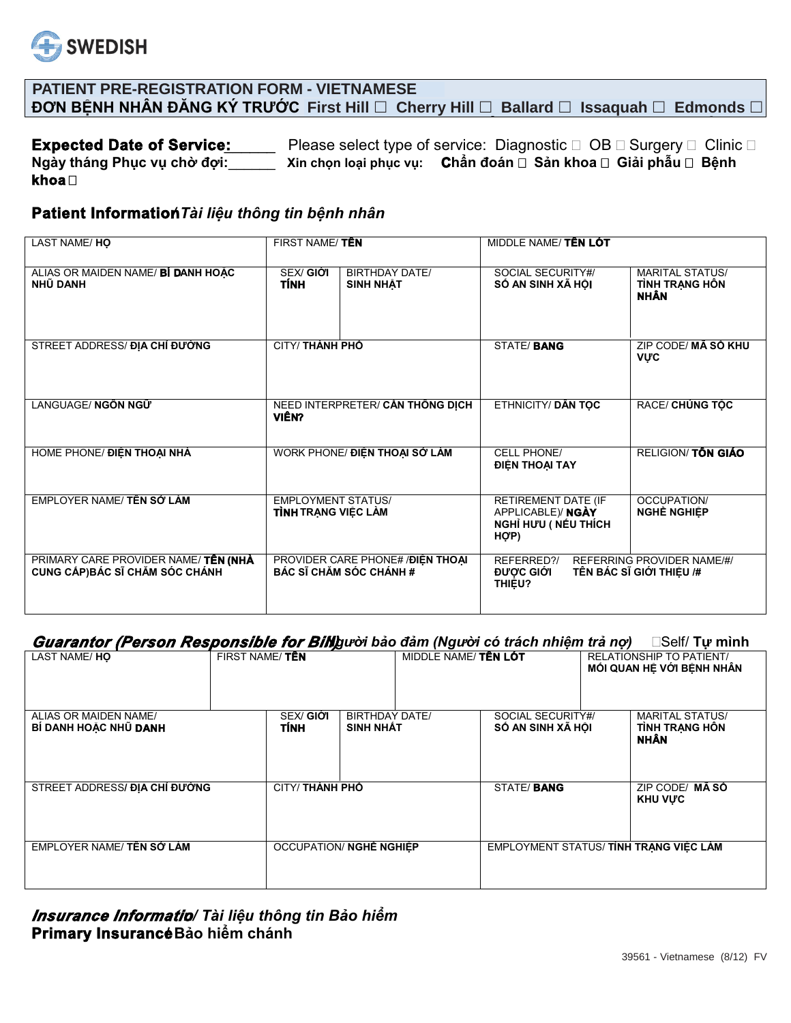

## **PATIENT PRE-REGISTRATION FORM - VIETNAMESE** ĐƠN BỆNH NHÂN ĐĂNG KÝ TRƯỚC First Hill □ Cherry Hill □ Ballard □ Issaquah □ Edmonds □

**Expected Date of Service:** Please select type of service: Diagnostic □ OB □ Surgery □ Clinic □ Ngày tháng Phục vụ chờ đợi: Xin chọn loại phục vụ: Chẩn đoán □ Sản khoa □ Giải phẫu □ Bệnh khoa□

### Patient Information Tài liệu thông tin bệnh nhân

| LAST NAME/HO                                                            | FIRST NAME/TÊN                                          |                                                                     | MIDDLE NAME/TÊN LÓT                                                     |                                                         |
|-------------------------------------------------------------------------|---------------------------------------------------------|---------------------------------------------------------------------|-------------------------------------------------------------------------|---------------------------------------------------------|
| ALIAS OR MAIDEN NAME/ BÍ DANH HOẶC<br>NHŨ DANH                          | SEX/ GIỚI<br><b>TÍNH</b>                                | <b>BIRTHDAY DATE/</b><br><b>SINH NHÂT</b>                           | SOCIAL SECURITY#/<br>SỐ AN SINH XÃ HỘI                                  | <b>MARITAL STATUS/</b><br>TÌNH TRẠNG HỒN<br><b>NHÂN</b> |
| STREET ADDRESS/ ĐỊA CHỈ ĐƯỜNG                                           | <b>CITY/ THÀNH PHỐ</b>                                  |                                                                     | <b>STATE/BANG</b>                                                       | ZIP CODE/ MÃ SỐ KHU<br><b>VUC</b>                       |
| LANGUAGE/ NGỒN NGỮ                                                      | NEED INTERPRETER/ CÂN THÔNG DỊCH<br>VIÊN?               |                                                                     | <b>ETHNICITY/ DÂN TOC</b>                                               | RACE/ CHÚNG TỐC                                         |
| HOME PHONE/ ĐIỆN THOẠI NHÀ                                              | WORK PHONE/ ĐIỆN THOẠI SỞ LÀM                           |                                                                     | CELL PHONE/<br>ĐIỆN THOẠI TAY                                           | <b>RELIGION/TÔN GIÁO</b>                                |
| EMPLOYER NAME/TÊN SỚ LÀM                                                | <b>EMPLOYMENT STATUS/</b><br><b>TÌNH</b> TRANG VIỆC LÀM |                                                                     | RETIREMENT DATE (IF<br>APPLICABLE)/ NGÀY<br>NGHỈ HƯU (NẾU THÍCH<br>HỢP) | OCCUPATION/<br>NGHỀ NGHIẾP                              |
| PRIMARY CARE PROVIDER NAME/ TÊN (NHÀ<br>CUNG CÁP) BÁC SĨ CHĂM SÓC CHÁNH |                                                         | PROVIDER CARE PHONE# / ĐIỆN THOẠI<br><b>BÁC SĨ CHĂM SÓC CHÁNH #</b> | REFERRED?/<br><b>ĐƯỢC GIỚI</b><br><b>THIÊU?</b>                         | REFERRING PROVIDER NAME/#/<br>TÊN BÁC SĨ GIỚI THIỆU /#  |

#### Guarantor (Person Responsible for Billguoi bảo đảm (Người có trách nhiệm trả nợ) □Self/ Tư mình

| LAST NAME/HO                                   | FIRST NAME/TEN                   |                                           | MIDDLE NAME/TÊN LOT |                                        | <b>RELATIONSHIP TO PATIENT/</b><br>MỐI QUAN HỆ VỚI BỆNH NHÂN |
|------------------------------------------------|----------------------------------|-------------------------------------------|---------------------|----------------------------------------|--------------------------------------------------------------|
| ALIAS OR MAIDEN NAME/<br>BÍ DANH HOAC NHŨ DANH | <b>SEX/ GIO'I</b><br><b>TÍNH</b> | <b>BIRTHDAY DATE/</b><br><b>SINH NHÂT</b> |                     | SOCIAL SECURITY#/<br>SỐ AN SINH XÃ HỘI | <b>MARITAL STATUS/</b><br>TÌNH TRANG HỒN<br><b>NHÂN</b>      |
| STREET ADDRESS/ DIA CHÍ ĐƯỜNG                  |                                  | <b>CITY/ THÀNH PHỐ</b>                    |                     | <b>STATE/BANG</b>                      | ZIP CODE/ MÃ SỐ<br><b>KHU VƯC</b>                            |
| EMPLOYER NAME/ TÊN SỞ LÀM                      |                                  | <b>OCCUPATION/ NGHE NGHIEP</b>            |                     |                                        | EMPLOYMENT STATUS/TINH TRANG VIỆC LÀM                        |

Insurance Informatio/ Tài liệu thông tin Bảo hiểm Primary Insurancé Bảo hiểm chánh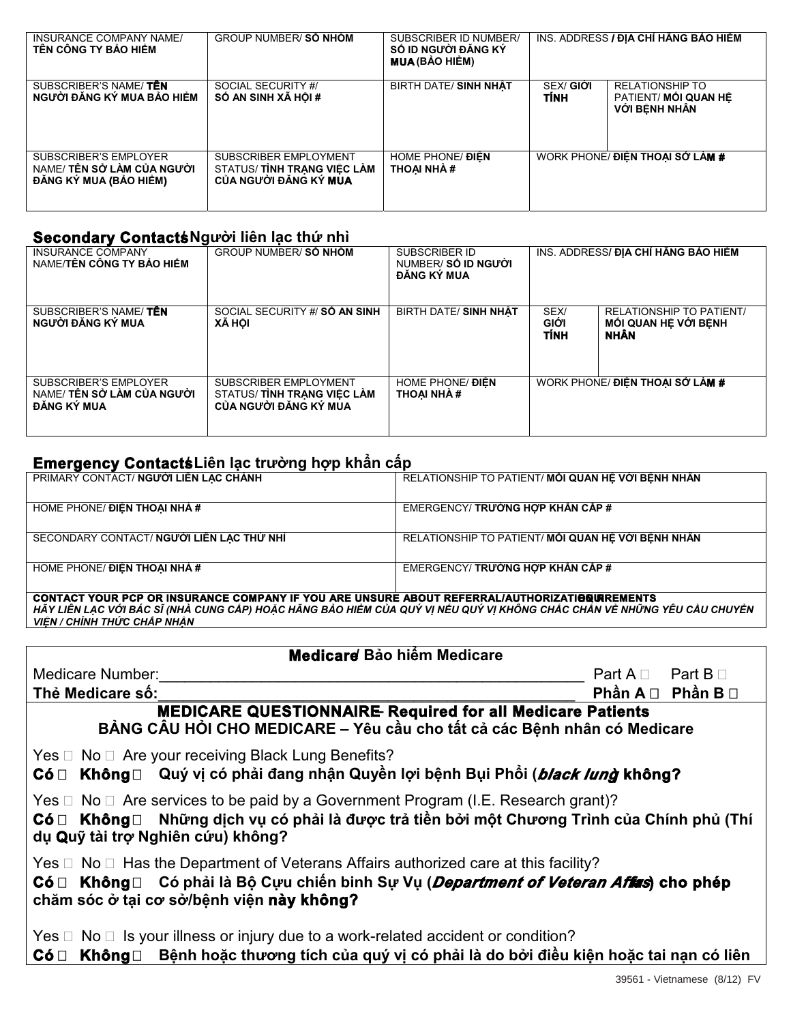| INSURANCE COMPANY NAME/<br>TÊN CÔNG TY BẢO HIỂM                                      | <b>GROUP NUMBER/SÓ NHÓM</b>                                                  | SUBSCRIBER ID NUMBER/<br>SỐ ID NGƯỜI ĐĂNG KÝ<br><b>MUA (BẢO HIỂM)</b> |                          | INS. ADDRESS <b>/ ĐIA CHỈ HÃNG BẢO HIỂM</b>                     |
|--------------------------------------------------------------------------------------|------------------------------------------------------------------------------|-----------------------------------------------------------------------|--------------------------|-----------------------------------------------------------------|
| SUBSCRIBER'S NAME/TÊN<br>NGƯỜI ĐĂNG KÝ MUA BẢO HIỂM                                  | SOCIAL SECURITY #/<br>SỐ AN SINH XÃ HỘI #                                    | BIRTH DATE/ SINH NHÂT                                                 | <b>SEX/ GIỚI</b><br>TÍNH | <b>RELATIONSHIP TO</b><br>PATIENT/ MỐI QUAN HÊ<br>VỚI BÊNH NHÂN |
| <b>SUBSCRIBER'S EMPLOYER</b><br>NAME/ TÊN SỞ LÀM CỦA NGƯỜI<br>ĐĂNG KÝ MUA (BẢO HIỂM) | SUBSCRIBER EMPLOYMENT<br>STATUS/TINH TRANG VIÊC LÀM<br>CỦA NGƯỜI ĐĂNG KÝ MUA | HOME PHONE/ <b>ĐIỂN</b><br><b>THOAI NHÀ #</b>                         |                          | WORK PHONE/ ĐIỂN THOAI SỞ LÀM #                                 |

## Secondary ContactsNgười liên lạc thứ nhì

| <b>INSURANCE COMPANY</b><br>NAME/TÊN CÔNG TY BẢO HIỂM                     | <b>GROUP NUMBER/SÓ NHÓM</b>                                                  | SUBSCRIBER ID<br>NUMBER/SỐ ID NGƯỜI<br>ĐĂNG KÝ MUA | INS. ADDRESS/ ĐIA CHỈ HÃNG BẢO HIỂM |                                                                        |
|---------------------------------------------------------------------------|------------------------------------------------------------------------------|----------------------------------------------------|-------------------------------------|------------------------------------------------------------------------|
| SUBSCRIBER'S NAME/TÊN<br>NGƯỜI ĐĂNG KÝ MUA                                | SOCIAL SECURITY #/ SÓ AN SINH<br>XÃ HỘI                                      | BIRTH DATE/ SINH NHÂT                              | <b>SEX/</b><br><b>GIỚI</b><br>TÍNH  | <b>RELATIONSHIP TO PATIENT/</b><br>MỘI QUAN HỀ VỚI BÊNH<br><b>NHÂN</b> |
| <b>SUBSCRIBER'S EMPLOYER</b><br>NAME/ TÊN SỞ LÀM CỦA NGƯỜI<br>ĐĂNG KÝ MUA | SUBSCRIBER EMPLOYMENT<br>STATUS/TINH TRANG VIÊC LÀM<br>CỦA NGƯỜI ĐĂNG KÝ MUA | HOME PHONE/ <b>DIEN</b><br>THOAI NHÀ #             |                                     | WORK PHONE/ ĐIỂN THOAI SỞ LÀM #                                        |

# Emergency ContactsLiên lạc trường hợp khẩn cấp

| PRIMARY CONTACT/ NGƯỜI LIÊN LẠC CHÁNH                                                                                                                                                                                          | RELATIONSHIP TO PATIENT/ MỐI QUAN HỆ VỚI BỆNH NHÂN |
|--------------------------------------------------------------------------------------------------------------------------------------------------------------------------------------------------------------------------------|----------------------------------------------------|
| HOME PHONE/ <b>ĐIỂN THOAI NHÀ #</b>                                                                                                                                                                                            | EMERGENCY/ TRƯỜNG HỢP KHẢN CẤP #                   |
| SECONDARY CONTACT/NGƯỜI LIÊN LẠC THỨ NHÌ                                                                                                                                                                                       | RELATIONSHIP TO PATIENT/MÓI QUAN HỆ VỚI BỆNH NHÂN  |
| HOME PHONE/ ĐIỂN THOẠI NHÀ #                                                                                                                                                                                                   | EMERGENCY/ TRƯỜNG HƠP KHÂN CẤP #                   |
| <b>CONTACT YOUR PCP OR INSURANCE COMPANY IF YOU ARE UNSURE ABOUT REFERRAL/AUTHORIZATIGQUREMENTS</b><br>HÃY LIÊN LAC VỚI BÁC SĨ (NHÀ CUNG CẤP) HOẶC HÃNG BẢO HIẾM CỦA QUÝ VI NẾU QUÝ VI KHÔNG CHẮC CHẮN VỀ NHỮNG YÊU CẦU CHUYẾN |                                                    |

VIỆN / CHÍNH THỨC CHẤP NHẬN

| Medicare Bảo hiểm Medicare                                                                                                                                                                                                                     |                                   |  |  |  |
|------------------------------------------------------------------------------------------------------------------------------------------------------------------------------------------------------------------------------------------------|-----------------------------------|--|--|--|
| <b>Medicare Number:</b>                                                                                                                                                                                                                        | $Part A \square$ Part $B \square$ |  |  |  |
| Thẻ Medicare số:                                                                                                                                                                                                                               | Phần A □ Phần B □                 |  |  |  |
| <b>MEDICARE QUESTIONNAIRE Required for all Medicare Patients</b><br>BẢNG CÂU HỎI CHO MEDICARE - Yêu cầu cho tất cả các Bệnh nhân có Medicare                                                                                                   |                                   |  |  |  |
| Yes □ No □ Are your receiving Black Lung Benefits?<br>Có □ Không □ Quý vị có phải đang nhận Quyền lợi bệnh Bụi Phổi ( <i>black lung</i> ) không?                                                                                               |                                   |  |  |  |
| Yes $\Box$ No $\Box$ Are services to be paid by a Government Program (I.E. Research grant)?<br>Có □ Không □ Những dịch vụ có phải là được trả tiền bởi một Chương Trình của Chính phủ (Thí<br>dụ Quỹ tài trợ Nghiên cứu) không?                |                                   |  |  |  |
| Yes $\Box$ No $\Box$ Has the Department of Veterans Affairs authorized care at this facility?<br>Có □ Không □ Có phải là Bộ Cựu chiến binh Sự Vụ ( <i>Department of Veteran Affars</i> ) cho phép<br>chăm sóc ở tại cơ sở/bệnh viện này không? |                                   |  |  |  |
| Yes $\Box$ No $\Box$ Is your illness or injury due to a work-related accident or condition?<br>Không□ Bệnh hoặc thương tích của quý vị có phải là do bởi điều kiện hoặc tai nạn có liên<br>Có ⊟                                                |                                   |  |  |  |